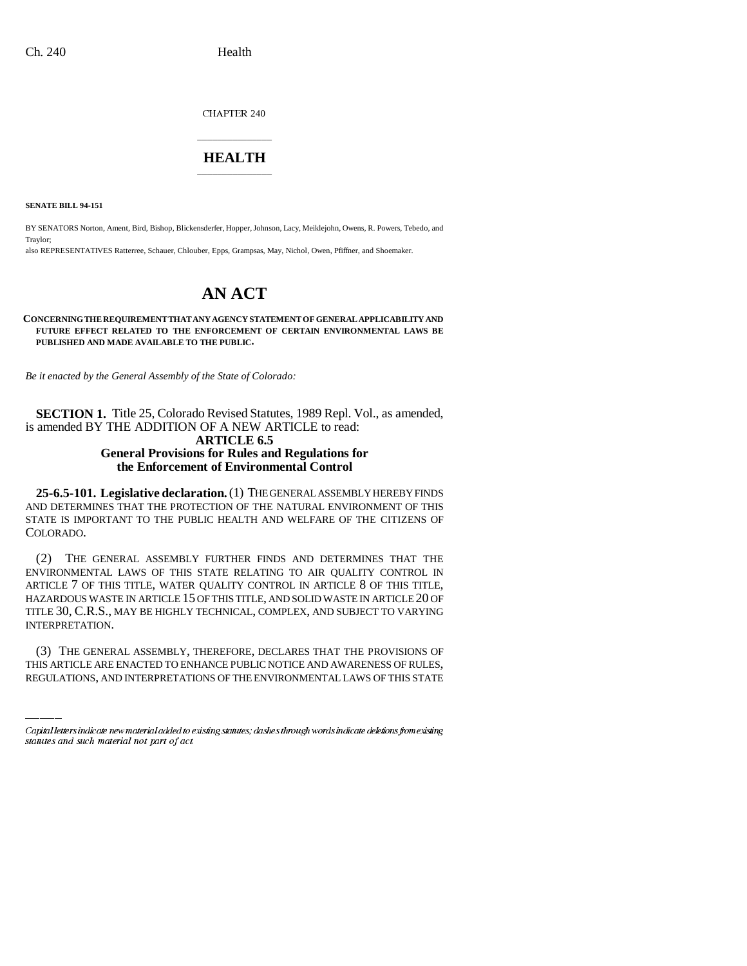CHAPTER 240

## \_\_\_\_\_\_\_\_\_\_\_\_\_\_\_ **HEALTH** \_\_\_\_\_\_\_\_\_\_\_\_\_\_\_

**SENATE BILL 94-151**

BY SENATORS Norton, Ament, Bird, Bishop, Blickensderfer, Hopper, Johnson, Lacy, Meiklejohn, Owens, R. Powers, Tebedo, and Traylor; also REPRESENTATIVES Ratterree, Schauer, Chlouber, Epps, Grampsas, May, Nichol, Owen, Pfiffner, and Shoemaker.

## **AN ACT**

**CONCERNING THE REQUIREMENT THAT ANY AGENCY STATEMENT OF GENERAL APPLICABILITY AND FUTURE EFFECT RELATED TO THE ENFORCEMENT OF CERTAIN ENVIRONMENTAL LAWS BE PUBLISHED AND MADE AVAILABLE TO THE PUBLIC.**

*Be it enacted by the General Assembly of the State of Colorado:*

**SECTION 1.** Title 25, Colorado Revised Statutes, 1989 Repl. Vol., as amended, is amended BY THE ADDITION OF A NEW ARTICLE to read: **ARTICLE 6.5**

## **General Provisions for Rules and Regulations for the Enforcement of Environmental Control**

**25-6.5-101. Legislative declaration.** (1) THE GENERAL ASSEMBLY HEREBY FINDS AND DETERMINES THAT THE PROTECTION OF THE NATURAL ENVIRONMENT OF THIS STATE IS IMPORTANT TO THE PUBLIC HEALTH AND WELFARE OF THE CITIZENS OF COLORADO.

INTERPRETATION. (2) THE GENERAL ASSEMBLY FURTHER FINDS AND DETERMINES THAT THE ENVIRONMENTAL LAWS OF THIS STATE RELATING TO AIR QUALITY CONTROL IN ARTICLE 7 OF THIS TITLE, WATER QUALITY CONTROL IN ARTICLE 8 OF THIS TITLE, HAZARDOUS WASTE IN ARTICLE 15 OF THIS TITLE, AND SOLID WASTE IN ARTICLE 20 OF TITLE 30, C.R.S., MAY BE HIGHLY TECHNICAL, COMPLEX, AND SUBJECT TO VARYING

(3) THE GENERAL ASSEMBLY, THEREFORE, DECLARES THAT THE PROVISIONS OF THIS ARTICLE ARE ENACTED TO ENHANCE PUBLIC NOTICE AND AWARENESS OF RULES, REGULATIONS, AND INTERPRETATIONS OF THE ENVIRONMENTAL LAWS OF THIS STATE

Capital letters indicate new material added to existing statutes; dashes through words indicate deletions from existing statutes and such material not part of act.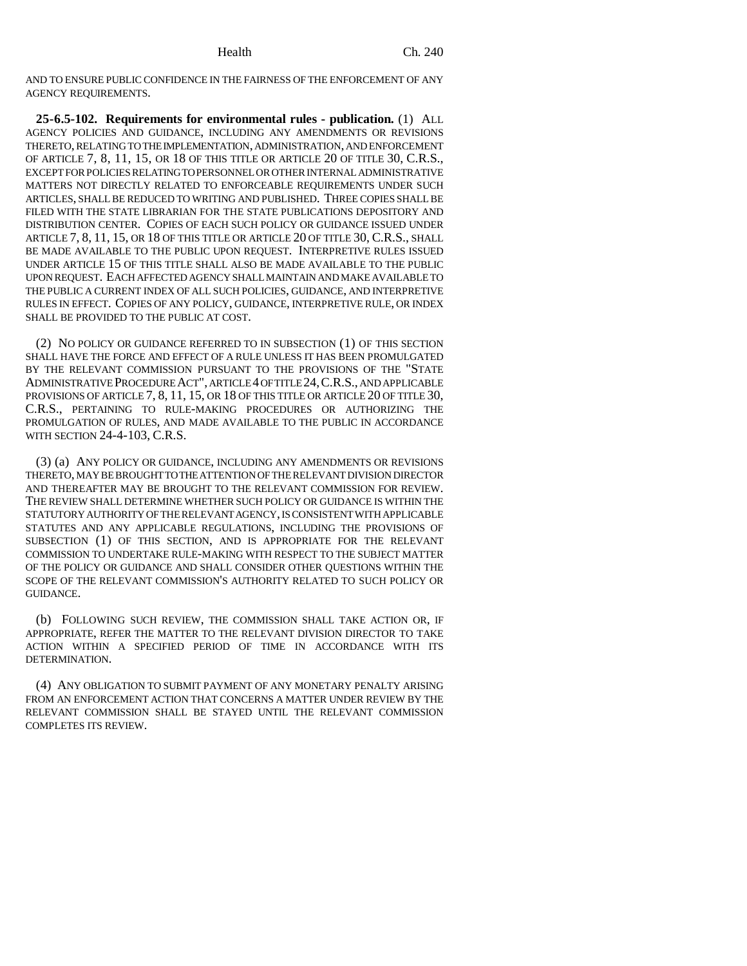AND TO ENSURE PUBLIC CONFIDENCE IN THE FAIRNESS OF THE ENFORCEMENT OF ANY AGENCY REQUIREMENTS.

**25-6.5-102. Requirements for environmental rules - publication.** (1) ALL AGENCY POLICIES AND GUIDANCE, INCLUDING ANY AMENDMENTS OR REVISIONS THERETO, RELATING TO THE IMPLEMENTATION, ADMINISTRATION, AND ENFORCEMENT OF ARTICLE 7, 8, 11, 15, OR 18 OF THIS TITLE OR ARTICLE 20 OF TITLE 30, C.R.S., EXCEPT FOR POLICIES RELATING TO PERSONNEL OR OTHER INTERNAL ADMINISTRATIVE MATTERS NOT DIRECTLY RELATED TO ENFORCEABLE REQUIREMENTS UNDER SUCH ARTICLES, SHALL BE REDUCED TO WRITING AND PUBLISHED. THREE COPIES SHALL BE FILED WITH THE STATE LIBRARIAN FOR THE STATE PUBLICATIONS DEPOSITORY AND DISTRIBUTION CENTER. COPIES OF EACH SUCH POLICY OR GUIDANCE ISSUED UNDER ARTICLE 7, 8, 11, 15, OR 18 OF THIS TITLE OR ARTICLE 20 OF TITLE 30, C.R.S., SHALL BE MADE AVAILABLE TO THE PUBLIC UPON REQUEST. INTERPRETIVE RULES ISSUED UNDER ARTICLE 15 OF THIS TITLE SHALL ALSO BE MADE AVAILABLE TO THE PUBLIC UPON REQUEST. EACH AFFECTED AGENCY SHALL MAINTAIN AND MAKE AVAILABLE TO THE PUBLIC A CURRENT INDEX OF ALL SUCH POLICIES, GUIDANCE, AND INTERPRETIVE RULES IN EFFECT. COPIES OF ANY POLICY, GUIDANCE, INTERPRETIVE RULE, OR INDEX SHALL BE PROVIDED TO THE PUBLIC AT COST.

(2) NO POLICY OR GUIDANCE REFERRED TO IN SUBSECTION (1) OF THIS SECTION SHALL HAVE THE FORCE AND EFFECT OF A RULE UNLESS IT HAS BEEN PROMULGATED BY THE RELEVANT COMMISSION PURSUANT TO THE PROVISIONS OF THE "STATE ADMINISTRATIVE PROCEDURE ACT", ARTICLE 4 OF TITLE 24,C.R.S., AND APPLICABLE PROVISIONS OF ARTICLE 7, 8, 11, 15, OR 18 OF THIS TITLE OR ARTICLE 20 OF TITLE 30, C.R.S., PERTAINING TO RULE-MAKING PROCEDURES OR AUTHORIZING THE PROMULGATION OF RULES, AND MADE AVAILABLE TO THE PUBLIC IN ACCORDANCE WITH SECTION 24-4-103, C.R.S.

(3) (a) ANY POLICY OR GUIDANCE, INCLUDING ANY AMENDMENTS OR REVISIONS THERETO, MAY BE BROUGHT TO THE ATTENTION OF THE RELEVANT DIVISION DIRECTOR AND THEREAFTER MAY BE BROUGHT TO THE RELEVANT COMMISSION FOR REVIEW. THE REVIEW SHALL DETERMINE WHETHER SUCH POLICY OR GUIDANCE IS WITHIN THE STATUTORY AUTHORITY OF THE RELEVANT AGENCY, IS CONSISTENT WITH APPLICABLE STATUTES AND ANY APPLICABLE REGULATIONS, INCLUDING THE PROVISIONS OF SUBSECTION (1) OF THIS SECTION, AND IS APPROPRIATE FOR THE RELEVANT COMMISSION TO UNDERTAKE RULE-MAKING WITH RESPECT TO THE SUBJECT MATTER OF THE POLICY OR GUIDANCE AND SHALL CONSIDER OTHER QUESTIONS WITHIN THE SCOPE OF THE RELEVANT COMMISSION'S AUTHORITY RELATED TO SUCH POLICY OR GUIDANCE.

(b) FOLLOWING SUCH REVIEW, THE COMMISSION SHALL TAKE ACTION OR, IF APPROPRIATE, REFER THE MATTER TO THE RELEVANT DIVISION DIRECTOR TO TAKE ACTION WITHIN A SPECIFIED PERIOD OF TIME IN ACCORDANCE WITH ITS DETERMINATION.

(4) ANY OBLIGATION TO SUBMIT PAYMENT OF ANY MONETARY PENALTY ARISING FROM AN ENFORCEMENT ACTION THAT CONCERNS A MATTER UNDER REVIEW BY THE RELEVANT COMMISSION SHALL BE STAYED UNTIL THE RELEVANT COMMISSION COMPLETES ITS REVIEW.